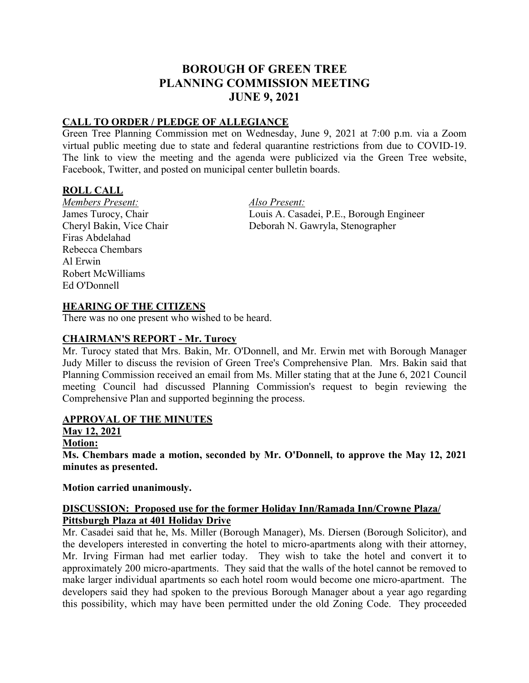# **BOROUGH OF GREEN TREE PLANNING COMMISSION MEETING JUNE 9, 2021**

# **CALL TO ORDER / PLEDGE OF ALLEGIANCE**

Green Tree Planning Commission met on Wednesday, June 9, 2021 at 7:00 p.m. via a Zoom virtual public meeting due to state and federal quarantine restrictions from due to COVID-19. The link to view the meeting and the agenda were publicized via the Green Tree website, Facebook, Twitter, and posted on municipal center bulletin boards.

# **ROLL CALL**

*Members Present: Also Present:* Firas Abdelahad Rebecca Chembars Al Erwin Robert McWilliams Ed O'Donnell

James Turocy, Chair Louis A. Casadei, P.E., Borough Engineer Cheryl Bakin, Vice Chair Deborah N. Gawryla, Stenographer

### **HEARING OF THE CITIZENS**

There was no one present who wished to be heard.

#### **CHAIRMAN'S REPORT - Mr. Turocy**

Mr. Turocy stated that Mrs. Bakin, Mr. O'Donnell, and Mr. Erwin met with Borough Manager Judy Miller to discuss the revision of Green Tree's Comprehensive Plan. Mrs. Bakin said that Planning Commission received an email from Ms. Miller stating that at the June 6, 2021 Council meeting Council had discussed Planning Commission's request to begin reviewing the Comprehensive Plan and supported beginning the process.

#### **APPROVAL OF THE MINUTES**

**May 12, 2021**

# **Motion:**

**Ms. Chembars made a motion, seconded by Mr. O'Donnell, to approve the May 12, 2021 minutes as presented.**

#### **Motion carried unanimously.**

### **DISCUSSION: Proposed use for the former Holiday Inn/Ramada Inn/Crowne Plaza/ Pittsburgh Plaza at 401 Holiday Drive**

Mr. Casadei said that he, Ms. Miller (Borough Manager), Ms. Diersen (Borough Solicitor), and the developers interested in converting the hotel to micro-apartments along with their attorney, Mr. Irving Firman had met earlier today. They wish to take the hotel and convert it to approximately 200 micro-apartments. They said that the walls of the hotel cannot be removed to make larger individual apartments so each hotel room would become one micro-apartment. The developers said they had spoken to the previous Borough Manager about a year ago regarding this possibility, which may have been permitted under the old Zoning Code. They proceeded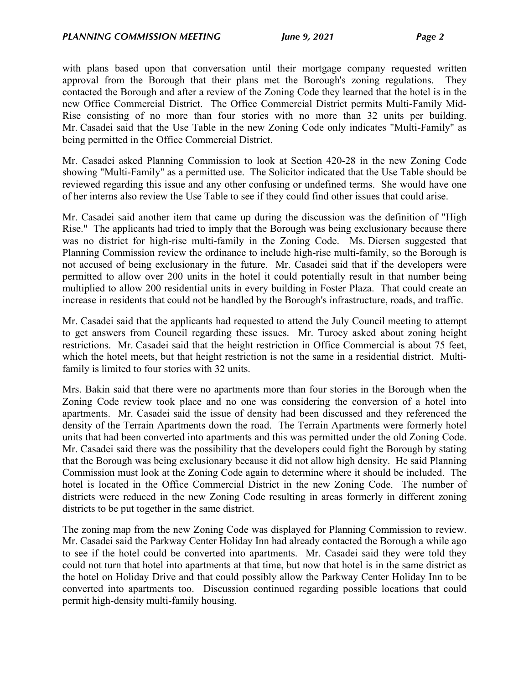with plans based upon that conversation until their mortgage company requested written approval from the Borough that their plans met the Borough's zoning regulations. They contacted the Borough and after a review of the Zoning Code they learned that the hotel is in the new Office Commercial District. The Office Commercial District permits Multi-Family Mid-Rise consisting of no more than four stories with no more than 32 units per building. Mr. Casadei said that the Use Table in the new Zoning Code only indicates "Multi-Family" as being permitted in the Office Commercial District.

Mr. Casadei asked Planning Commission to look at Section 420-28 in the new Zoning Code showing "Multi-Family" as a permitted use. The Solicitor indicated that the Use Table should be reviewed regarding this issue and any other confusing or undefined terms. She would have one of her interns also review the Use Table to see if they could find other issues that could arise.

Mr. Casadei said another item that came up during the discussion was the definition of "High Rise." The applicants had tried to imply that the Borough was being exclusionary because there was no district for high-rise multi-family in the Zoning Code. Ms. Diersen suggested that Planning Commission review the ordinance to include high-rise multi-family, so the Borough is not accused of being exclusionary in the future. Mr. Casadei said that if the developers were permitted to allow over 200 units in the hotel it could potentially result in that number being multiplied to allow 200 residential units in every building in Foster Plaza. That could create an increase in residents that could not be handled by the Borough's infrastructure, roads, and traffic.

Mr. Casadei said that the applicants had requested to attend the July Council meeting to attempt to get answers from Council regarding these issues. Mr. Turocy asked about zoning height restrictions. Mr. Casadei said that the height restriction in Office Commercial is about 75 feet, which the hotel meets, but that height restriction is not the same in a residential district. Multifamily is limited to four stories with 32 units.

Mrs. Bakin said that there were no apartments more than four stories in the Borough when the Zoning Code review took place and no one was considering the conversion of a hotel into apartments. Mr. Casadei said the issue of density had been discussed and they referenced the density of the Terrain Apartments down the road. The Terrain Apartments were formerly hotel units that had been converted into apartments and this was permitted under the old Zoning Code. Mr. Casadei said there was the possibility that the developers could fight the Borough by stating that the Borough was being exclusionary because it did not allow high density. He said Planning Commission must look at the Zoning Code again to determine where it should be included. The hotel is located in the Office Commercial District in the new Zoning Code. The number of districts were reduced in the new Zoning Code resulting in areas formerly in different zoning districts to be put together in the same district.

The zoning map from the new Zoning Code was displayed for Planning Commission to review. Mr. Casadei said the Parkway Center Holiday Inn had already contacted the Borough a while ago to see if the hotel could be converted into apartments. Mr. Casadei said they were told they could not turn that hotel into apartments at that time, but now that hotel is in the same district as the hotel on Holiday Drive and that could possibly allow the Parkway Center Holiday Inn to be converted into apartments too. Discussion continued regarding possible locations that could permit high-density multi-family housing.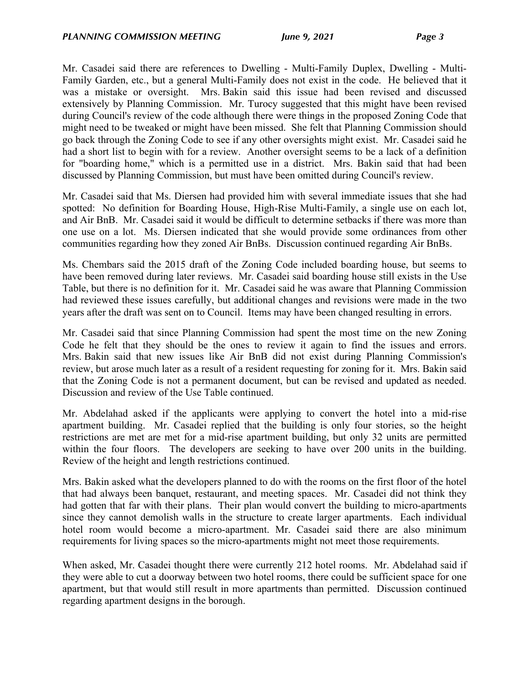Mr. Casadei said there are references to Dwelling - Multi-Family Duplex, Dwelling - Multi-Family Garden, etc., but a general Multi-Family does not exist in the code. He believed that it was a mistake or oversight. Mrs. Bakin said this issue had been revised and discussed extensively by Planning Commission. Mr. Turocy suggested that this might have been revised during Council's review of the code although there were things in the proposed Zoning Code that might need to be tweaked or might have been missed. She felt that Planning Commission should go back through the Zoning Code to see if any other oversights might exist. Mr. Casadei said he had a short list to begin with for a review. Another oversight seems to be a lack of a definition for "boarding home," which is a permitted use in a district. Mrs. Bakin said that had been discussed by Planning Commission, but must have been omitted during Council's review.

Mr. Casadei said that Ms. Diersen had provided him with several immediate issues that she had spotted: No definition for Boarding House, High-Rise Multi-Family, a single use on each lot, and Air BnB. Mr. Casadei said it would be difficult to determine setbacks if there was more than one use on a lot. Ms. Diersen indicated that she would provide some ordinances from other communities regarding how they zoned Air BnBs. Discussion continued regarding Air BnBs.

Ms. Chembars said the 2015 draft of the Zoning Code included boarding house, but seems to have been removed during later reviews. Mr. Casadei said boarding house still exists in the Use Table, but there is no definition for it. Mr. Casadei said he was aware that Planning Commission had reviewed these issues carefully, but additional changes and revisions were made in the two years after the draft was sent on to Council. Items may have been changed resulting in errors.

Mr. Casadei said that since Planning Commission had spent the most time on the new Zoning Code he felt that they should be the ones to review it again to find the issues and errors. Mrs. Bakin said that new issues like Air BnB did not exist during Planning Commission's review, but arose much later as a result of a resident requesting for zoning for it. Mrs. Bakin said that the Zoning Code is not a permanent document, but can be revised and updated as needed. Discussion and review of the Use Table continued.

Mr. Abdelahad asked if the applicants were applying to convert the hotel into a mid-rise apartment building. Mr. Casadei replied that the building is only four stories, so the height restrictions are met are met for a mid-rise apartment building, but only 32 units are permitted within the four floors. The developers are seeking to have over 200 units in the building. Review of the height and length restrictions continued.

Mrs. Bakin asked what the developers planned to do with the rooms on the first floor of the hotel that had always been banquet, restaurant, and meeting spaces. Mr. Casadei did not think they had gotten that far with their plans. Their plan would convert the building to micro-apartments since they cannot demolish walls in the structure to create larger apartments. Each individual hotel room would become a micro-apartment. Mr. Casadei said there are also minimum requirements for living spaces so the micro-apartments might not meet those requirements.

When asked, Mr. Casadei thought there were currently 212 hotel rooms. Mr. Abdelahad said if they were able to cut a doorway between two hotel rooms, there could be sufficient space for one apartment, but that would still result in more apartments than permitted. Discussion continued regarding apartment designs in the borough.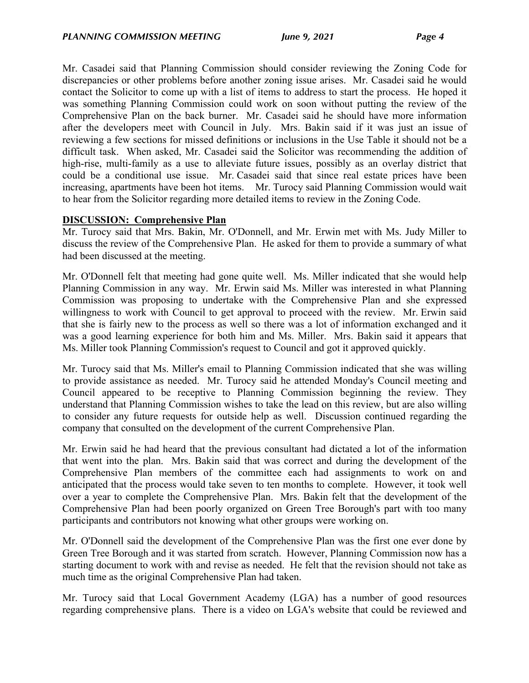Mr. Casadei said that Planning Commission should consider reviewing the Zoning Code for discrepancies or other problems before another zoning issue arises. Mr. Casadei said he would contact the Solicitor to come up with a list of items to address to start the process. He hoped it was something Planning Commission could work on soon without putting the review of the Comprehensive Plan on the back burner. Mr. Casadei said he should have more information after the developers meet with Council in July. Mrs. Bakin said if it was just an issue of reviewing a few sections for missed definitions or inclusions in the Use Table it should not be a difficult task. When asked, Mr. Casadei said the Solicitor was recommending the addition of high-rise, multi-family as a use to alleviate future issues, possibly as an overlay district that could be a conditional use issue. Mr. Casadei said that since real estate prices have been increasing, apartments have been hot items. Mr. Turocy said Planning Commission would wait to hear from the Solicitor regarding more detailed items to review in the Zoning Code.

#### **DISCUSSION: Comprehensive Plan**

Mr. Turocy said that Mrs. Bakin, Mr. O'Donnell, and Mr. Erwin met with Ms. Judy Miller to discuss the review of the Comprehensive Plan. He asked for them to provide a summary of what had been discussed at the meeting.

Mr. O'Donnell felt that meeting had gone quite well. Ms. Miller indicated that she would help Planning Commission in any way. Mr. Erwin said Ms. Miller was interested in what Planning Commission was proposing to undertake with the Comprehensive Plan and she expressed willingness to work with Council to get approval to proceed with the review. Mr. Erwin said that she is fairly new to the process as well so there was a lot of information exchanged and it was a good learning experience for both him and Ms. Miller. Mrs. Bakin said it appears that Ms. Miller took Planning Commission's request to Council and got it approved quickly.

Mr. Turocy said that Ms. Miller's email to Planning Commission indicated that she was willing to provide assistance as needed. Mr. Turocy said he attended Monday's Council meeting and Council appeared to be receptive to Planning Commission beginning the review. They understand that Planning Commission wishes to take the lead on this review, but are also willing to consider any future requests for outside help as well. Discussion continued regarding the company that consulted on the development of the current Comprehensive Plan.

Mr. Erwin said he had heard that the previous consultant had dictated a lot of the information that went into the plan. Mrs. Bakin said that was correct and during the development of the Comprehensive Plan members of the committee each had assignments to work on and anticipated that the process would take seven to ten months to complete. However, it took well over a year to complete the Comprehensive Plan. Mrs. Bakin felt that the development of the Comprehensive Plan had been poorly organized on Green Tree Borough's part with too many participants and contributors not knowing what other groups were working on.

Mr. O'Donnell said the development of the Comprehensive Plan was the first one ever done by Green Tree Borough and it was started from scratch. However, Planning Commission now has a starting document to work with and revise as needed. He felt that the revision should not take as much time as the original Comprehensive Plan had taken.

Mr. Turocy said that Local Government Academy (LGA) has a number of good resources regarding comprehensive plans. There is a video on LGA's website that could be reviewed and